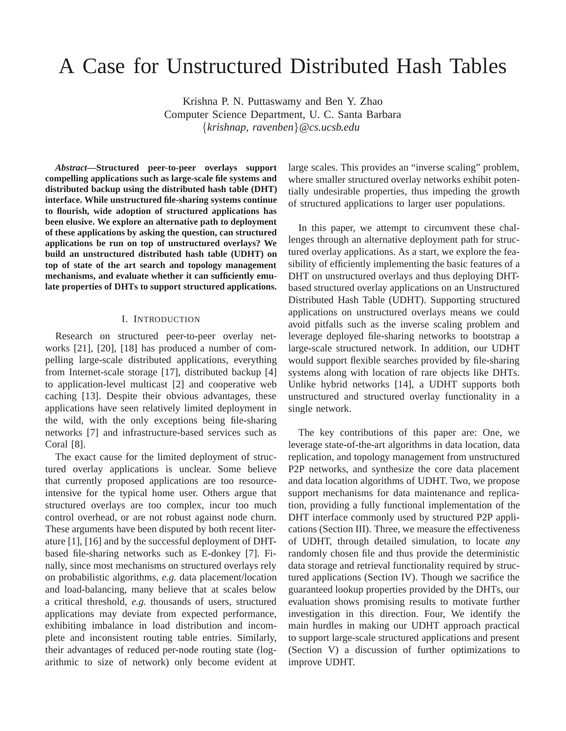# A Case for Unstructured Distributed Hash Tables

Krishna P. N. Puttaswamy and Ben Y. Zhao Computer Science Department, U. C. Santa Barbara {*krishnap, ravenben*}*@cs.ucsb.edu*

*Abstract***—Structured peer-to-peer overlays support compelling applications such as large-scale file systems and distributed backup using the distributed hash table (DHT) interface. While unstructured file-sharing systems continue to flourish, wide adoption of structured applications has been elusive. We explore an alternative path to deployment of these applications by asking the question, can structured applications be run on top of unstructured overlays? We build an unstructured distributed hash table (UDHT) on top of state of the art search and topology management mechanisms, and evaluate whether it can sufficiently emulate properties of DHTs to support structured applications.**

#### I. INTRODUCTION

Research on structured peer-to-peer overlay networks [21], [20], [18] has produced a number of compelling large-scale distributed applications, everything from Internet-scale storage [17], distributed backup [4] to application-level multicast [2] and cooperative web caching [13]. Despite their obvious advantages, these applications have seen relatively limited deployment in the wild, with the only exceptions being file-sharing networks [7] and infrastructure-based services such as Coral [8].

The exact cause for the limited deployment of structured overlay applications is unclear. Some believe that currently proposed applications are too resourceintensive for the typical home user. Others argue that structured overlays are too complex, incur too much control overhead, or are not robust against node churn. These arguments have been disputed by both recent literature [1], [16] and by the successful deployment of DHTbased file-sharing networks such as E-donkey [7]. Finally, since most mechanisms on structured overlays rely on probabilistic algorithms, *e.g.* data placement/location and load-balancing, many believe that at scales below a critical threshold, *e.g.* thousands of users, structured applications may deviate from expected performance, exhibiting imbalance in load distribution and incomplete and inconsistent routing table entries. Similarly, their advantages of reduced per-node routing state (logarithmic to size of network) only become evident at large scales. This provides an "inverse scaling" problem, where smaller structured overlay networks exhibit potentially undesirable properties, thus impeding the growth of structured applications to larger user populations.

In this paper, we attempt to circumvent these challenges through an alternative deployment path for structured overlay applications. As a start, we explore the feasibility of efficiently implementing the basic features of a DHT on unstructured overlays and thus deploying DHTbased structured overlay applications on an Unstructured Distributed Hash Table (UDHT). Supporting structured applications on unstructured overlays means we could avoid pitfalls such as the inverse scaling problem and leverage deployed file-sharing networks to bootstrap a large-scale structured network. In addition, our UDHT would support flexible searches provided by file-sharing systems along with location of rare objects like DHTs. Unlike hybrid networks [14], a UDHT supports both unstructured and structured overlay functionality in a single network.

The key contributions of this paper are: One, we leverage state-of-the-art algorithms in data location, data replication, and topology management from unstructured P2P networks, and synthesize the core data placement and data location algorithms of UDHT. Two, we propose support mechanisms for data maintenance and replication, providing a fully functional implementation of the DHT interface commonly used by structured P2P applications (Section III). Three, we measure the effectiveness of UDHT, through detailed simulation, to locate *any* randomly chosen file and thus provide the deterministic data storage and retrieval functionality required by structured applications (Section IV). Though we sacrifice the guaranteed lookup properties provided by the DHTs, our evaluation shows promising results to motivate further investigation in this direction. Four, We identify the main hurdles in making our UDHT approach practical to support large-scale structured applications and present (Section V) a discussion of further optimizations to improve UDHT.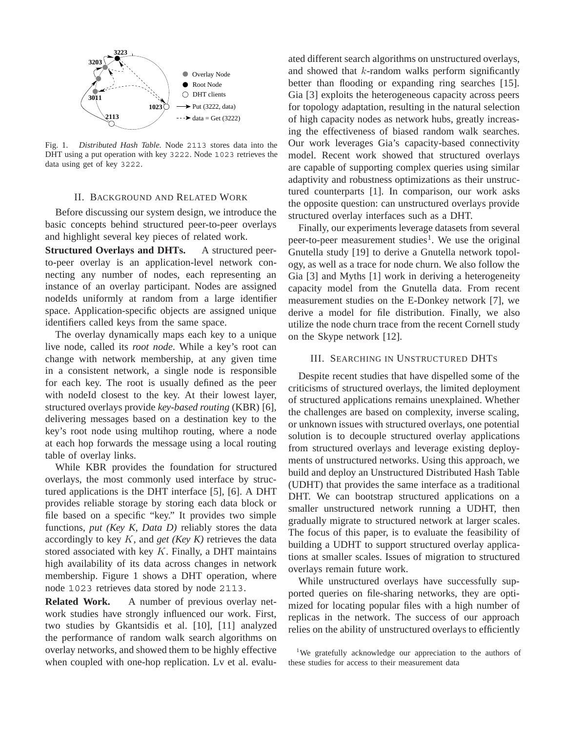

Fig. 1. *Distributed Hash Table.* Node 2113 stores data into the DHT using a put operation with key 3222. Node 1023 retrieves the data using get of key 3222.

## II. BACKGROUND AND RELATED WORK

Before discussing our system design, we introduce the basic concepts behind structured peer-to-peer overlays and highlight several key pieces of related work.

**Structured Overlays and DHTs.** A structured peerto-peer overlay is an application-level network connecting any number of nodes, each representing an instance of an overlay participant. Nodes are assigned nodeIds uniformly at random from a large identifier space. Application-specific objects are assigned unique identifiers called keys from the same space.

The overlay dynamically maps each key to a unique live node, called its *root node*. While a key's root can change with network membership, at any given time in a consistent network, a single node is responsible for each key. The root is usually defined as the peer with nodeId closest to the key. At their lowest layer, structured overlays provide *key-based routing* (KBR) [6], delivering messages based on a destination key to the key's root node using multihop routing, where a node at each hop forwards the message using a local routing table of overlay links.

While KBR provides the foundation for structured overlays, the most commonly used interface by structured applications is the DHT interface [5], [6]. A DHT provides reliable storage by storing each data block or file based on a specific "key." It provides two simple functions, *put (Key K, Data D)* reliably stores the data accordingly to key *K*, and *get (Key K)* retrieves the data stored associated with key *K*. Finally, a DHT maintains high availability of its data across changes in network membership. Figure 1 shows a DHT operation, where node 1023 retrieves data stored by node 2113.

**Related Work.** A number of previous overlay network studies have strongly influenced our work. First, two studies by Gkantsidis et al. [10], [11] analyzed the performance of random walk search algorithms on overlay networks, and showed them to be highly effective when coupled with one-hop replication. Lv et al. evalu-

ated different search algorithms on unstructured overlays, and showed that *k*-random walks perform significantly better than flooding or expanding ring searches [15]. Gia [3] exploits the heterogeneous capacity across peers for topology adaptation, resulting in the natural selection of high capacity nodes as network hubs, greatly increasing the effectiveness of biased random walk searches. Our work leverages Gia's capacity-based connectivity model. Recent work showed that structured overlays are capable of supporting complex queries using similar adaptivity and robustness optimizations as their unstructured counterparts [1]. In comparison, our work asks the opposite question: can unstructured overlays provide structured overlay interfaces such as a DHT.

Finally, our experiments leverage datasets from several peer-to-peer measurement studies<sup>1</sup>. We use the original Gnutella study [19] to derive a Gnutella network topology, as well as a trace for node churn. We also follow the Gia [3] and Myths [1] work in deriving a heterogeneity capacity model from the Gnutella data. From recent measurement studies on the E-Donkey network [7], we derive a model for file distribution. Finally, we also utilize the node churn trace from the recent Cornell study on the Skype network [12].

#### III. SEARCHING IN UNSTRUCTURED DHTS

Despite recent studies that have dispelled some of the criticisms of structured overlays, the limited deployment of structured applications remains unexplained. Whether the challenges are based on complexity, inverse scaling, or unknown issues with structured overlays, one potential solution is to decouple structured overlay applications from structured overlays and leverage existing deployments of unstructured networks. Using this approach, we build and deploy an Unstructured Distributed Hash Table (UDHT) that provides the same interface as a traditional DHT. We can bootstrap structured applications on a smaller unstructured network running a UDHT, then gradually migrate to structured network at larger scales. The focus of this paper, is to evaluate the feasibility of building a UDHT to support structured overlay applications at smaller scales. Issues of migration to structured overlays remain future work.

While unstructured overlays have successfully supported queries on file-sharing networks, they are optimized for locating popular files with a high number of replicas in the network. The success of our approach relies on the ability of unstructured overlays to efficiently

<sup>&</sup>lt;sup>1</sup>We gratefully acknowledge our appreciation to the authors of these studies for access to their measurement data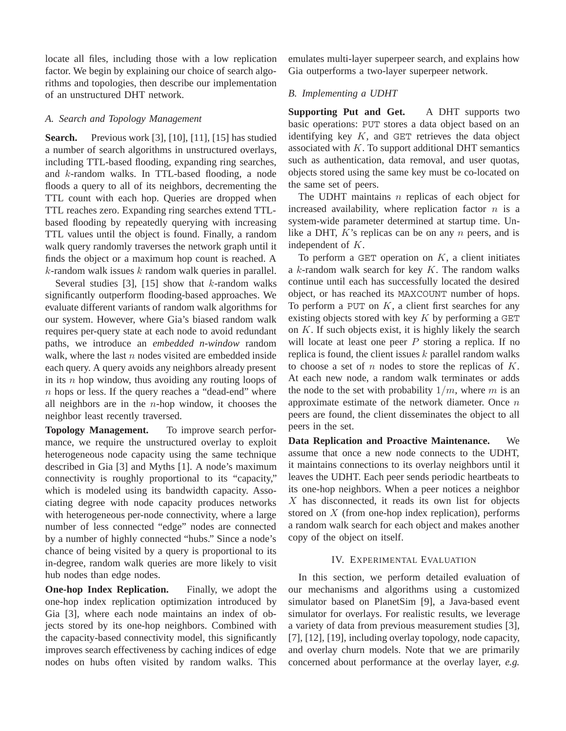locate all files, including those with a low replication factor. We begin by explaining our choice of search algorithms and topologies, then describe our implementation of an unstructured DHT network.

## *A. Search and Topology Management*

**Search.** Previous work [3], [10], [11], [15] has studied a number of search algorithms in unstructured overlays, including TTL-based flooding, expanding ring searches, and *k*-random walks. In TTL-based flooding, a node floods a query to all of its neighbors, decrementing the TTL count with each hop. Queries are dropped when TTL reaches zero. Expanding ring searches extend TTLbased flooding by repeatedly querying with increasing TTL values until the object is found. Finally, a random walk query randomly traverses the network graph until it finds the object or a maximum hop count is reached. A *k*-random walk issues *k* random walk queries in parallel.

Several studies [3], [15] show that *k*-random walks significantly outperform flooding-based approaches. We evaluate different variants of random walk algorithms for our system. However, where Gia's biased random walk requires per-query state at each node to avoid redundant paths, we introduce an *embedded n-window* random walk, where the last *n* nodes visited are embedded inside each query. A query avoids any neighbors already present in its *n* hop window, thus avoiding any routing loops of *n* hops or less. If the query reaches a "dead-end" where all neighbors are in the *n*-hop window, it chooses the neighbor least recently traversed.

**Topology Management.** To improve search performance, we require the unstructured overlay to exploit heterogeneous node capacity using the same technique described in Gia [3] and Myths [1]. A node's maximum connectivity is roughly proportional to its "capacity," which is modeled using its bandwidth capacity. Associating degree with node capacity produces networks with heterogeneous per-node connectivity, where a large number of less connected "edge" nodes are connected by a number of highly connected "hubs." Since a node's chance of being visited by a query is proportional to its in-degree, random walk queries are more likely to visit hub nodes than edge nodes.

**One-hop Index Replication.** Finally, we adopt the one-hop index replication optimization introduced by Gia [3], where each node maintains an index of objects stored by its one-hop neighbors. Combined with the capacity-based connectivity model, this significantly improves search effectiveness by caching indices of edge nodes on hubs often visited by random walks. This emulates multi-layer superpeer search, and explains how Gia outperforms a two-layer superpeer network.

## *B. Implementing a UDHT*

**Supporting Put and Get.** A DHT supports two basic operations: PUT stores a data object based on an identifying key *K*, and GET retrieves the data object associated with *K*. To support additional DHT semantics such as authentication, data removal, and user quotas, objects stored using the same key must be co-located on the same set of peers.

The UDHT maintains *n* replicas of each object for increased availability, where replication factor *n* is a system-wide parameter determined at startup time. Unlike a DHT, *K*'s replicas can be on any *n* peers, and is independent of *K*.

To perform a GET operation on  $K$ , a client initiates a *k*-random walk search for key *K*. The random walks continue until each has successfully located the desired object, or has reached its MAXCOUNT number of hops. To perform a PUT on  $K$ , a client first searches for any existing objects stored with key *K* by performing a GET on *K*. If such objects exist, it is highly likely the search will locate at least one peer *P* storing a replica. If no replica is found, the client issues *k* parallel random walks to choose a set of *n* nodes to store the replicas of *K*. At each new node, a random walk terminates or adds the node to the set with probability  $1/m$ , where m is an approximate estimate of the network diameter. Once *n* peers are found, the client disseminates the object to all peers in the set.

**Data Replication and Proactive Maintenance.** We assume that once a new node connects to the UDHT, it maintains connections to its overlay neighbors until it leaves the UDHT. Each peer sends periodic heartbeats to its one-hop neighbors. When a peer notices a neighbor *X* has disconnected, it reads its own list for objects stored on *X* (from one-hop index replication), performs a random walk search for each object and makes another copy of the object on itself.

## IV. EXPERIMENTAL EVALUATION

In this section, we perform detailed evaluation of our mechanisms and algorithms using a customized simulator based on PlanetSim [9], a Java-based event simulator for overlays. For realistic results, we leverage a variety of data from previous measurement studies [3], [7], [12], [19], including overlay topology, node capacity, and overlay churn models. Note that we are primarily concerned about performance at the overlay layer, *e.g.*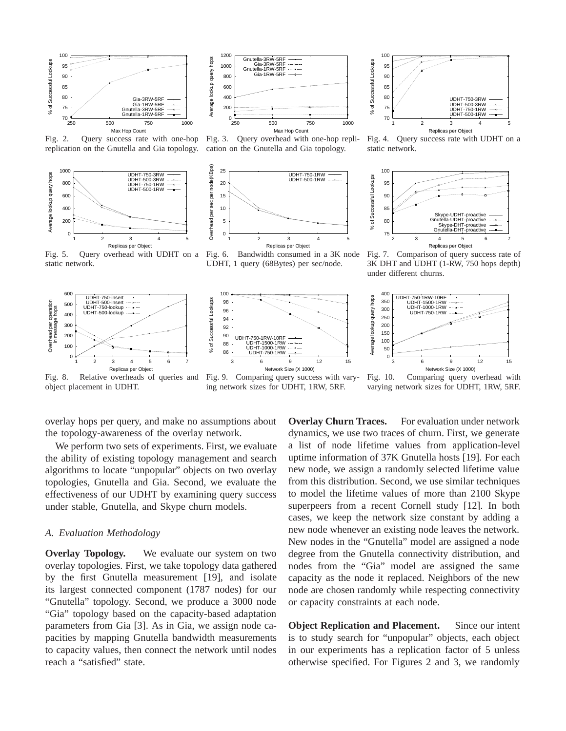

Fig. 2. Query success rate with one-hop replication on the Gnutella and Gia topology.



Fig. 5. Query overhead with UDHT on a static network.





Fig. 3. Query overhead with one-hop replication on the Gnutella and Gia topology.



Fig. 6. Bandwidth consumed in a 3K node UDHT, 1 query (68Bytes) per sec/node.



Fig. 9. Comparing query success with varying network sizes for UDHT, 1RW, 5RF.



Fig. 4. Query success rate with UDHT on a static network.



Fig. 7. Comparison of query success rate of 3K DHT and UDHT (1-RW, 750 hops depth) under different churns.



Fig. 10. Comparing query overhead with varying network sizes for UDHT, 1RW, 5RF.

Fig. 8. Relative overheads of queries and object placement in UDHT.

overlay hops per query, and make no assumptions about the topology-awareness of the overlay network.

We perform two sets of experiments. First, we evaluate the ability of existing topology management and search algorithms to locate "unpopular" objects on two overlay topologies, Gnutella and Gia. Second, we evaluate the effectiveness of our UDHT by examining query success under stable, Gnutella, and Skype churn models.

## *A. Evaluation Methodology*

**Overlay Topology.** We evaluate our system on two overlay topologies. First, we take topology data gathered by the first Gnutella measurement [19], and isolate its largest connected component (1787 nodes) for our "Gnutella" topology. Second, we produce a 3000 node "Gia" topology based on the capacity-based adaptation parameters from Gia [3]. As in Gia, we assign node capacities by mapping Gnutella bandwidth measurements to capacity values, then connect the network until nodes reach a "satisfied" state.

**Overlay Churn Traces.** For evaluation under network dynamics, we use two traces of churn. First, we generate a list of node lifetime values from application-level uptime information of 37K Gnutella hosts [19]. For each new node, we assign a randomly selected lifetime value from this distribution. Second, we use similar techniques to model the lifetime values of more than 2100 Skype superpeers from a recent Cornell study [12]. In both cases, we keep the network size constant by adding a new node whenever an existing node leaves the network. New nodes in the "Gnutella" model are assigned a node degree from the Gnutella connectivity distribution, and nodes from the "Gia" model are assigned the same capacity as the node it replaced. Neighbors of the new node are chosen randomly while respecting connectivity or capacity constraints at each node.

**Object Replication and Placement.** Since our intent is to study search for "unpopular" objects, each object in our experiments has a replication factor of 5 unless otherwise specified. For Figures 2 and 3, we randomly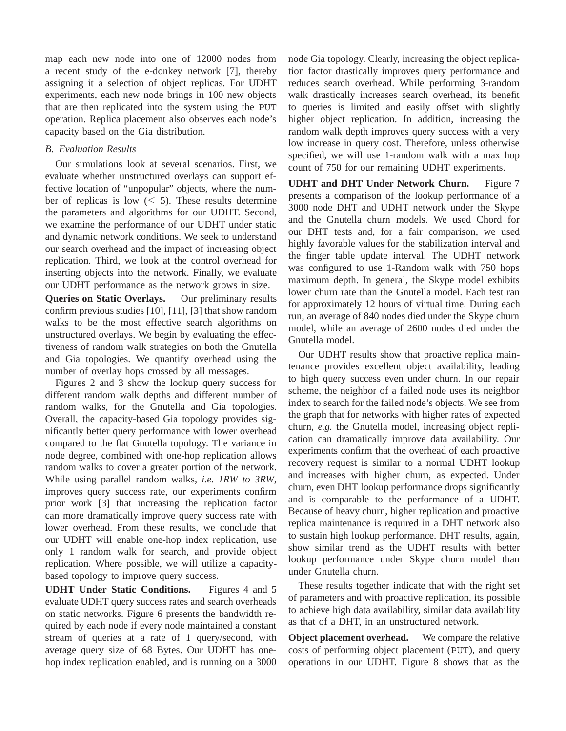map each new node into one of 12000 nodes from a recent study of the e-donkey network [7], thereby assigning it a selection of object replicas. For UDHT experiments, each new node brings in 100 new objects that are then replicated into the system using the PUT operation. Replica placement also observes each node's capacity based on the Gia distribution.

## *B. Evaluation Results*

Our simulations look at several scenarios. First, we evaluate whether unstructured overlays can support effective location of "unpopular" objects, where the number of replicas is low  $(\leq 5)$ . These results determine the parameters and algorithms for our UDHT. Second, we examine the performance of our UDHT under static and dynamic network conditions. We seek to understand our search overhead and the impact of increasing object replication. Third, we look at the control overhead for inserting objects into the network. Finally, we evaluate our UDHT performance as the network grows in size.

**Queries on Static Overlays.** Our preliminary results confirm previous studies [10], [11], [3] that show random walks to be the most effective search algorithms on unstructured overlays. We begin by evaluating the effectiveness of random walk strategies on both the Gnutella and Gia topologies. We quantify overhead using the number of overlay hops crossed by all messages.

Figures 2 and 3 show the lookup query success for different random walk depths and different number of random walks, for the Gnutella and Gia topologies. Overall, the capacity-based Gia topology provides significantly better query performance with lower overhead compared to the flat Gnutella topology. The variance in node degree, combined with one-hop replication allows random walks to cover a greater portion of the network. While using parallel random walks, *i.e. 1RW to 3RW*, improves query success rate, our experiments confirm prior work [3] that increasing the replication factor can more dramatically improve query success rate with lower overhead. From these results, we conclude that our UDHT will enable one-hop index replication, use only 1 random walk for search, and provide object replication. Where possible, we will utilize a capacitybased topology to improve query success.

**UDHT Under Static Conditions.** Figures 4 and 5 evaluate UDHT query success rates and search overheads on static networks. Figure 6 presents the bandwidth required by each node if every node maintained a constant stream of queries at a rate of 1 query/second, with average query size of 68 Bytes. Our UDHT has onehop index replication enabled, and is running on a 3000 node Gia topology. Clearly, increasing the object replication factor drastically improves query performance and reduces search overhead. While performing 3-random walk drastically increases search overhead, its benefit to queries is limited and easily offset with slightly higher object replication. In addition, increasing the random walk depth improves query success with a very low increase in query cost. Therefore, unless otherwise specified, we will use 1-random walk with a max hop count of 750 for our remaining UDHT experiments.

**UDHT and DHT Under Network Churn.** Figure 7 presents a comparison of the lookup performance of a 3000 node DHT and UDHT network under the Skype and the Gnutella churn models. We used Chord for our DHT tests and, for a fair comparison, we used highly favorable values for the stabilization interval and the finger table update interval. The UDHT network was configured to use 1-Random walk with 750 hops maximum depth. In general, the Skype model exhibits lower churn rate than the Gnutella model. Each test ran for approximately 12 hours of virtual time. During each run, an average of 840 nodes died under the Skype churn model, while an average of 2600 nodes died under the Gnutella model.

Our UDHT results show that proactive replica maintenance provides excellent object availability, leading to high query success even under churn. In our repair scheme, the neighbor of a failed node uses its neighbor index to search for the failed node's objects. We see from the graph that for networks with higher rates of expected churn, *e.g.* the Gnutella model, increasing object replication can dramatically improve data availability. Our experiments confirm that the overhead of each proactive recovery request is similar to a normal UDHT lookup and increases with higher churn, as expected. Under churn, even DHT lookup performance drops significantly and is comparable to the performance of a UDHT. Because of heavy churn, higher replication and proactive replica maintenance is required in a DHT network also to sustain high lookup performance. DHT results, again, show similar trend as the UDHT results with better lookup performance under Skype churn model than under Gnutella churn.

These results together indicate that with the right set of parameters and with proactive replication, its possible to achieve high data availability, similar data availability as that of a DHT, in an unstructured network.

**Object placement overhead.** We compare the relative costs of performing object placement (PUT), and query operations in our UDHT. Figure 8 shows that as the